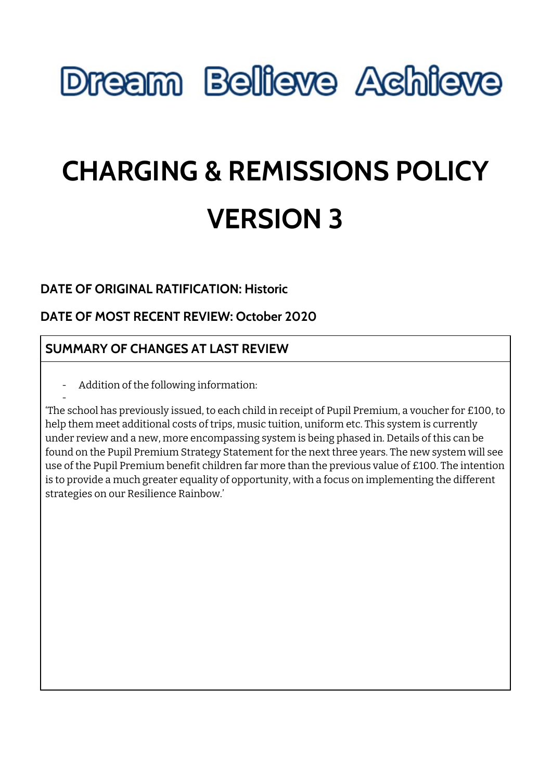# **Dream Believe Achieve**

# **CHARGING & REMISSIONS POLICY VERSION 3**

## **DATE OF ORIGINAL RATIFICATION: Historic**

## **DATE OF MOST RECENT REVIEW: October 2020**

## **SUMMARY OF CHANGES AT LAST REVIEW**

- Addition of the following information:

-

'The school has previously issued, to each child in receipt of Pupil Premium, a voucher for £100, to help them meet additional costs of trips, music tuition, uniform etc. This system is currently under review and a new, more encompassing system is being phased in. Details of this can be found on the Pupil Premium Strategy Statement for the next three years. The new system will see use of the Pupil Premium benefit children far more than the previous value of £100. The intention is to provide a much greater equality of opportunity, with a focus on implementing the different strategies on our Resilience Rainbow.'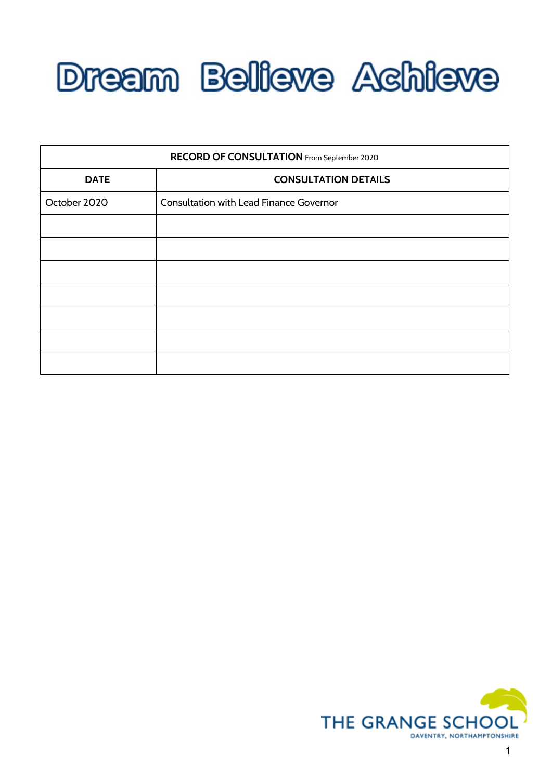

| RECORD OF CONSULTATION From September 2020 |                                                |
|--------------------------------------------|------------------------------------------------|
| <b>DATE</b>                                | <b>CONSULTATION DETAILS</b>                    |
| October 2020                               | <b>Consultation with Lead Finance Governor</b> |
|                                            |                                                |
|                                            |                                                |
|                                            |                                                |
|                                            |                                                |
|                                            |                                                |
|                                            |                                                |
|                                            |                                                |

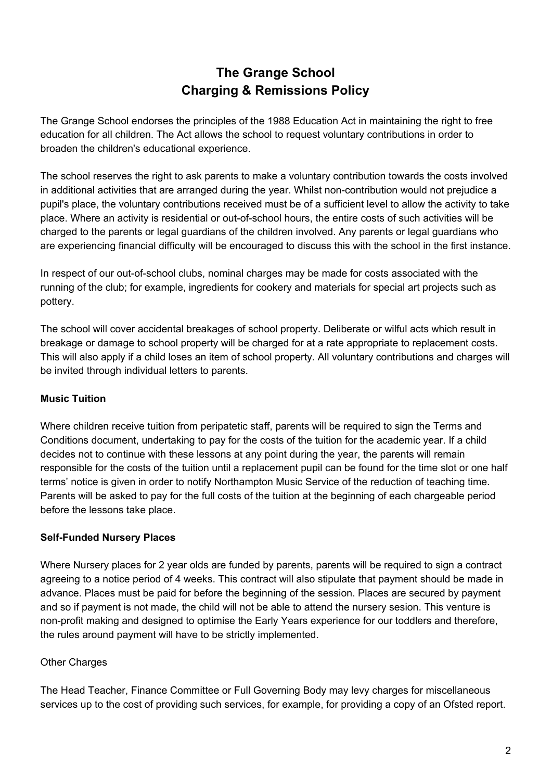## **The Grange School Charging & Remissions Policy**

The Grange School endorses the principles of the 1988 Education Act in maintaining the right to free education for all children. The Act allows the school to request voluntary contributions in order to broaden the children's educational experience.

The school reserves the right to ask parents to make a voluntary contribution towards the costs involved in additional activities that are arranged during the year. Whilst non-contribution would not prejudice a pupil's place, the voluntary contributions received must be of a sufficient level to allow the activity to take place. Where an activity is residential or out-of-school hours, the entire costs of such activities will be charged to the parents or legal guardians of the children involved. Any parents or legal guardians who are experiencing financial difficulty will be encouraged to discuss this with the school in the first instance.

In respect of our out-of-school clubs, nominal charges may be made for costs associated with the running of the club; for example, ingredients for cookery and materials for special art projects such as pottery.

The school will cover accidental breakages of school property. Deliberate or wilful acts which result in breakage or damage to school property will be charged for at a rate appropriate to replacement costs. This will also apply if a child loses an item of school property. All voluntary contributions and charges will be invited through individual letters to parents.

### **Music Tuition**

Where children receive tuition from peripatetic staff, parents will be required to sign the Terms and Conditions document, undertaking to pay for the costs of the tuition for the academic year. If a child decides not to continue with these lessons at any point during the year, the parents will remain responsible for the costs of the tuition until a replacement pupil can be found for the time slot or one half terms' notice is given in order to notify Northampton Music Service of the reduction of teaching time. Parents will be asked to pay for the full costs of the tuition at the beginning of each chargeable period before the lessons take place.

#### **Self-Funded Nursery Places**

Where Nursery places for 2 year olds are funded by parents, parents will be required to sign a contract agreeing to a notice period of 4 weeks. This contract will also stipulate that payment should be made in advance. Places must be paid for before the beginning of the session. Places are secured by payment and so if payment is not made, the child will not be able to attend the nursery sesion. This venture is non-profit making and designed to optimise the Early Years experience for our toddlers and therefore, the rules around payment will have to be strictly implemented.

### Other Charges

The Head Teacher, Finance Committee or Full Governing Body may levy charges for miscellaneous services up to the cost of providing such services, for example, for providing a copy of an Ofsted report.